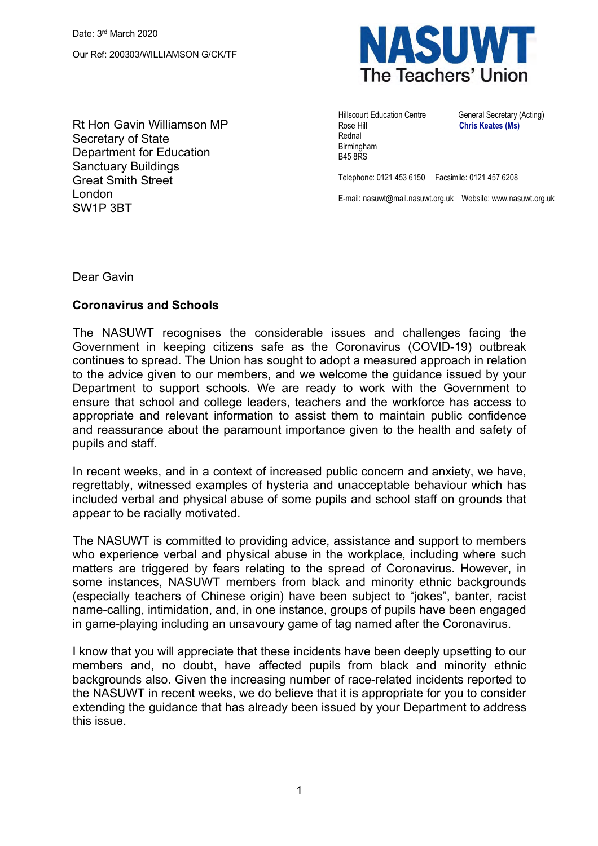**NASUWT** The Teachers' Union

Rt Hon Gavin Williamson MP Secretary of State Department for Education Sanctuary Buildings Great Smith Street London SW1P 3BT

Rose Hill **Chris Keates (Ms)** Rednal **Birmingham** B45 8RS

Hillscourt Education Centre General Secretary (Acting)

Telephone: 0121 453 6150 Facsimile: 0121 457 6208

E-mail: nasuwt@mail.nasuwt.org.uk Website: www.nasuwt.org.uk

Dear Gavin

## **Coronavirus and Schools**

The NASUWT recognises the considerable issues and challenges facing the Government in keeping citizens safe as the Coronavirus (COVID-19) outbreak continues to spread. The Union has sought to adopt a measured approach in relation to the advice given to our members, and we welcome the guidance issued by your Department to support schools. We are ready to work with the Government to ensure that school and college leaders, teachers and the workforce has access to appropriate and relevant information to assist them to maintain public confidence and reassurance about the paramount importance given to the health and safety of pupils and staff.

In recent weeks, and in a context of increased public concern and anxiety, we have, regrettably, witnessed examples of hysteria and unacceptable behaviour which has included verbal and physical abuse of some pupils and school staff on grounds that appear to be racially motivated.

The NASUWT is committed to providing advice, assistance and support to members who experience verbal and physical abuse in the workplace, including where such matters are triggered by fears relating to the spread of Coronavirus. However, in some instances, NASUWT members from black and minority ethnic backgrounds (especially teachers of Chinese origin) have been subject to "jokes", banter, racist name-calling, intimidation, and, in one instance, groups of pupils have been engaged in game-playing including an unsavoury game of tag named after the Coronavirus.

I know that you will appreciate that these incidents have been deeply upsetting to our members and, no doubt, have affected pupils from black and minority ethnic backgrounds also. Given the increasing number of race-related incidents reported to the NASUWT in recent weeks, we do believe that it is appropriate for you to consider extending the guidance that has already been issued by your Department to address this issue.